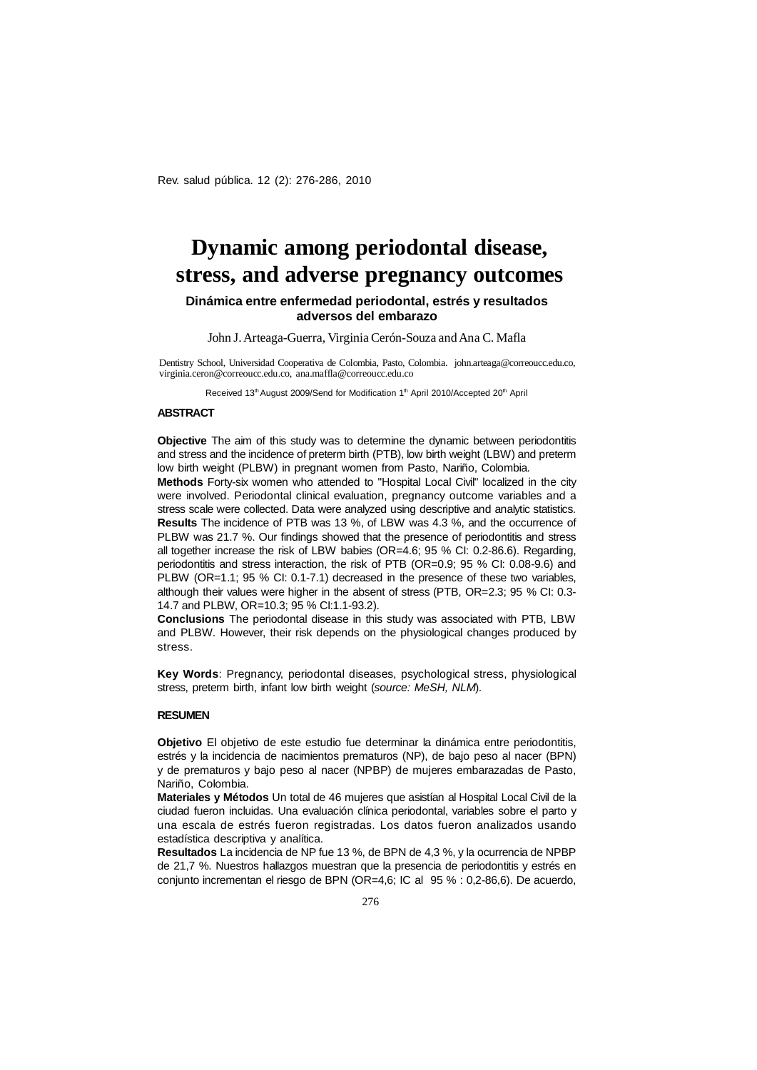Rev. salud pública. 12 (2): 276-286, 2010

# **Dynamic among periodontal disease, stress, and adverse pregnancy outcomes**

## **Dinámica entre enfermedad periodontal, estrés y resultados adversos del embarazo**

John J. Arteaga-Guerra, Virginia Cerón-Souza and Ana C. Mafla

Dentistry School, Universidad Cooperativa de Colombia, Pasto, Colombia. [john.arteaga@correoucc.edu.co,](mailto:john.arteaga:@correoucc.edu.co) [virginia.ceron@correoucc.edu.co,](mailto:virginia.ceron:@correoucc.edu.co) [ana.maffla@correoucc.edu.co](mailto:ana.maffla:@correoucc.edu.co)

Received 13<sup>th</sup> August 2009/Send for Modification 1<sup>th</sup> April 2010/Accepted 20<sup>th</sup> April

#### **ABSTRACT**

**Objective** The aim of this study was to determine the dynamic between periodontitis and stress and the incidence of preterm birth (PTB), low birth weight (LBW) and preterm low birth weight (PLBW) in pregnant women from Pasto, Nariño, Colombia.

**Methods** Forty-six women who attended to "Hospital Local Civil" localized in the city were involved. Periodontal clinical evaluation, pregnancy outcome variables and a stress scale were collected. Data were analyzed using descriptive and analytic statistics. **Results** The incidence of PTB was 13 %, of LBW was 4.3 %, and the occurrence of PLBW was 21.7 %. Our findings showed that the presence of periodontitis and stress all together increase the risk of LBW babies (OR=4.6; 95 % CI: 0.2-86.6). Regarding, periodontitis and stress interaction, the risk of PTB (OR=0.9; 95 % CI: 0.08-9.6) and PLBW (OR=1.1; 95 % CI: 0.1-7.1) decreased in the presence of these two variables, although their values were higher in the absent of stress (PTB, OR=2.3; 95 % CI: 0.3- 14.7 and PLBW, OR=10.3; 95 % CI:1.1-93.2).

**Conclusions** The periodontal disease in this study was associated with PTB, LBW and PLBW. However, their risk depends on the physiological changes produced by stress.

**Key Words**: Pregnancy, periodontal diseases, psychological stress, physiological stress, preterm birth, infant low birth weight (*source: MeSH, NLM*).

#### **RESUMEN**

**Objetivo** El objetivo de este estudio fue determinar la dinámica entre periodontitis, estrés y la incidencia de nacimientos prematuros (NP), de bajo peso al nacer (BPN) y de prematuros y bajo peso al nacer (NPBP) de mujeres embarazadas de Pasto, Nariño, Colombia.

**Materiales y Métodos** Un total de 46 mujeres que asistían al Hospital Local Civil de la ciudad fueron incluidas. Una evaluación clínica periodontal, variables sobre el parto y una escala de estrés fueron registradas. Los datos fueron analizados usando estadística descriptiva y analítica.

**Resultados** La incidencia de NP fue 13 %, de BPN de 4,3 %, y la ocurrencia de NPBP de 21,7 %. Nuestros hallazgos muestran que la presencia de periodontitis y estrés en conjunto incrementan el riesgo de BPN (OR=4,6; IC al 95 % : 0,2-86,6). De acuerdo,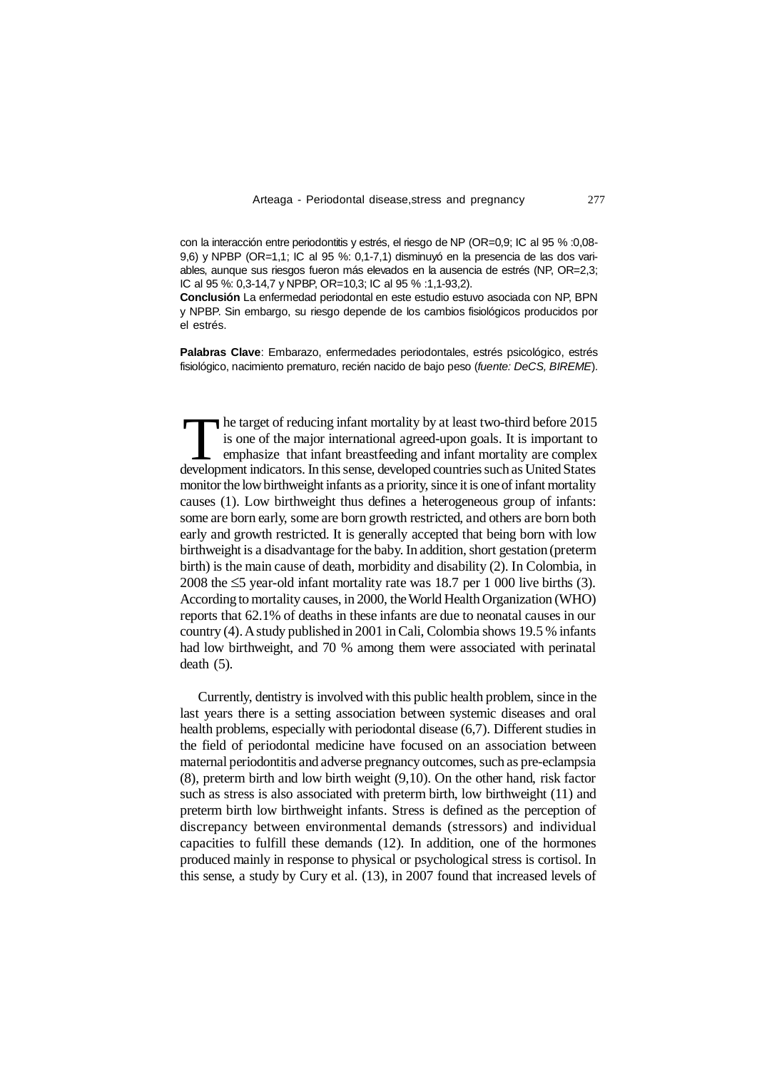**Conclusión** La enfermedad periodontal en este estudio estuvo asociada con NP, BPN y NPBP. Sin embargo, su riesgo depende de los cambios fisiológicos producidos por el estrés.

**Palabras Clave**: Embarazo, enfermedades periodontales, estrés psicológico, estrés fisiológico, nacimiento prematuro, recién nacido de bajo peso (*fuente: DeCS, BIREME*).

The target of reducing infant mortality by at least two-third before 2015<br>is one of the major international agreed-upon goals. It is important to<br>emphasize that infant breastfeeding and infant mortality are complex<br>develop monitor the low birthweight infants as a priority, since it is one of infant mortality causes (1). Low birthweight thus defines a heterogeneous group of infants: some are born early, some are born growth restricted, and others are born both early and growth restricted. It is generally accepted that being born with low birthweight is a disadvantage for the baby. In addition, short gestation (preterm birth) is the main cause of death, morbidity and disability (2). In Colombia, in 2008 the  $\leq$ 5 year-old infant mortality rate was 18.7 per 1 000 live births (3). According to mortality causes, in 2000, the World Health Organization (WHO) reports that 62.1% of deaths in these infants are due to neonatal causes in our country (4). A study published in 2001 in Cali, Colombia shows 19.5 % infants had low birthweight, and 70 % among them were associated with perinatal death (5). The target of reducing infant mortality by at least two-third before 2015 is one of the major international agreed-upon goals. It is important to emphasize that infant breastfeeding and infant mortality are complex

Currently, dentistry is involved with this public health problem, since in the last years there is a setting association between systemic diseases and oral health problems, especially with periodontal disease (6,7). Different studies in the field of periodontal medicine have focused on an association between maternal periodontitis and adverse pregnancy outcomes, such as pre-eclampsia (8), preterm birth and low birth weight (9,10). On the other hand, risk factor such as stress is also associated with preterm birth, low birthweight (11) and preterm birth low birthweight infants. Stress is defined as the perception of discrepancy between environmental demands (stressors) and individual capacities to fulfill these demands (12). In addition, one of the hormones produced mainly in response to physical or psychological stress is cortisol. In this sense, a study by Cury et al. (13), in 2007 found that increased levels of

con la interacción entre periodontitis y estrés, el riesgo de NP (OR=0,9; IC al 95 % :0,08- 9,6) y NPBP (OR=1,1; IC al 95 %: 0,1-7,1) disminuyó en la presencia de las dos variables, aunque sus riesgos fueron más elevados en la ausencia de estrés (NP, OR=2,3; IC al 95 %: 0,3-14,7 y NPBP, OR=10,3; IC al 95 % :1,1-93,2).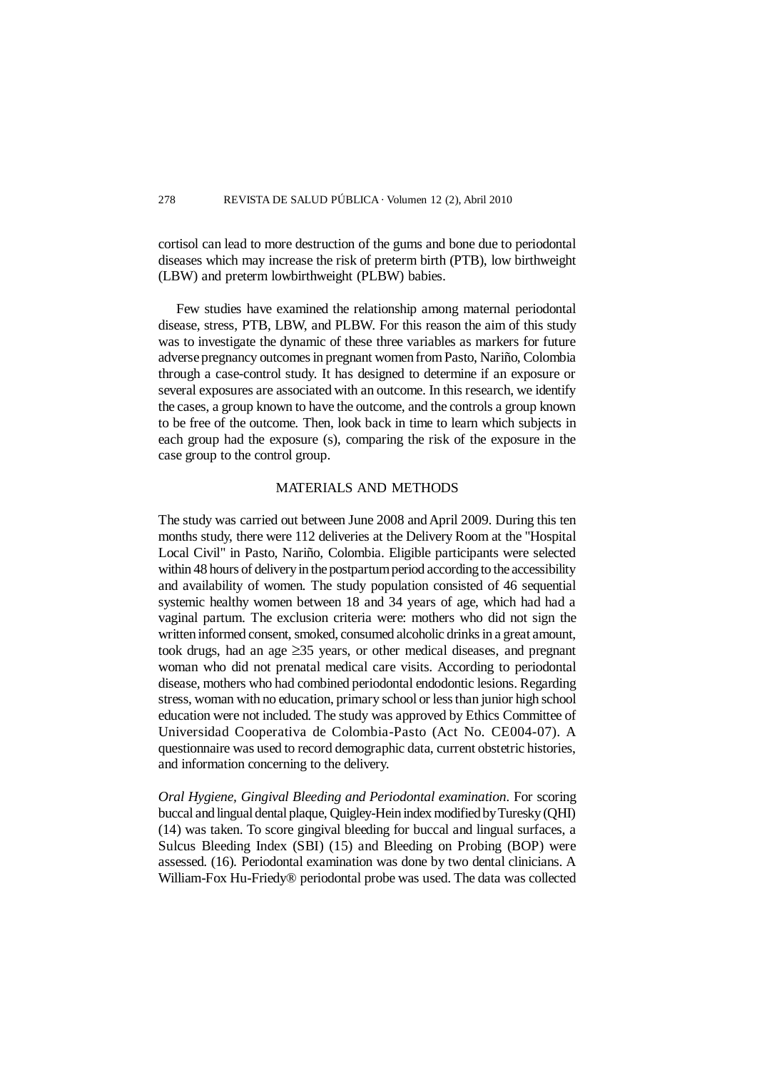cortisol can lead to more destruction of the gums and bone due to periodontal diseases which may increase the risk of preterm birth (PTB), low birthweight (LBW) and preterm lowbirthweight (PLBW) babies.

Few studies have examined the relationship among maternal periodontal disease, stress, PTB, LBW, and PLBW. For this reason the aim of this study was to investigate the dynamic of these three variables as markers for future adverse pregnancy outcomes in pregnant women from Pasto, Nariño, Colombia through a case-control study. It has designed to determine if an exposure or several exposures are associated with an outcome. In this research, we identify the cases, a group known to have the outcome, and the controls a group known to be free of the outcome. Then, look back in time to learn which subjects in each group had the exposure (s), comparing the risk of the exposure in the case group to the control group.

### MATERIALS AND METHODS

The study was carried out between June 2008 and April 2009. During this ten months study, there were 112 deliveries at the Delivery Room at the "Hospital Local Civil" in Pasto, Nariño, Colombia. Eligible participants were selected within 48 hours of delivery in the postpartum period according to the accessibility and availability of women. The study population consisted of 46 sequential systemic healthy women between 18 and 34 years of age, which had had a vaginal partum. The exclusion criteria were: mothers who did not sign the written informed consent, smoked, consumed alcoholic drinks in a great amount, took drugs, had an age  $\geq$ 35 years, or other medical diseases, and pregnant woman who did not prenatal medical care visits. According to periodontal disease, mothers who had combined periodontal endodontic lesions. Regarding stress, woman with no education, primary school or less than junior high school education were not included. The study was approved by Ethics Committee of Universidad Cooperativa de Colombia-Pasto (Act No. CE004-07). A questionnaire was used to record demographic data, current obstetric histories, and information concerning to the delivery.

*Oral Hygiene, Gingival Bleeding and Periodontal examination.* For scoring buccal and lingual dental plaque, Quigley-Hein index modified by Turesky (QHI) (14) was taken. To score gingival bleeding for buccal and lingual surfaces, a Sulcus Bleeding Index (SBI) (15) and Bleeding on Probing (BOP) were assessed. (16). Periodontal examination was done by two dental clinicians. A William-Fox Hu-Friedy® periodontal probe was used. The data was collected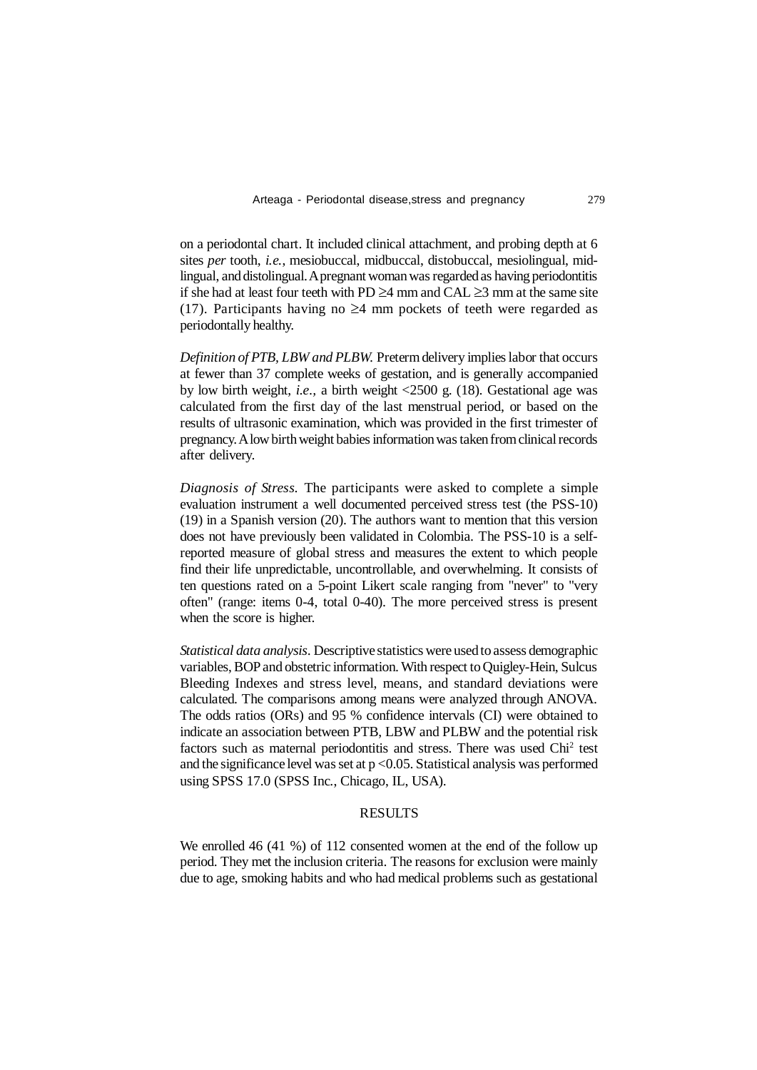on a periodontal chart. It included clinical attachment, and probing depth at 6 sites *per* tooth, *i.e.*, mesiobuccal, midbuccal, distobuccal, mesiolingual, midlingual, and distolingual. A pregnant woman was regarded as having periodontitis if she had at least four teeth with PD  $\geq$ 4 mm and CAL  $\geq$ 3 mm at the same site (17). Participants having no  $\geq 4$  mm pockets of teeth were regarded as periodontally healthy.

*Definition of PTB, LBW and PLBW.* Preterm delivery implies labor that occurs at fewer than 37 complete weeks of gestation, and is generally accompanied by low birth weight, *i.e.,* a birth weight <2500 g. (18). Gestational age was calculated from the first day of the last menstrual period, or based on the results of ultrasonic examination, which was provided in the first trimester of pregnancy. A low birth weight babies information was taken from clinical records after delivery.

*Diagnosis of Stress.* The participants were asked to complete a simple evaluation instrument a well documented perceived stress test (the PSS-10) (19) in a Spanish version (20). The authors want to mention that this version does not have previously been validated in Colombia. The PSS-10 is a selfreported measure of global stress and measures the extent to which people find their life unpredictable, uncontrollable, and overwhelming. It consists of ten questions rated on a 5-point Likert scale ranging from "never" to "very often" (range: items 0-4, total 0-40). The more perceived stress is present when the score is higher.

*Statistical data analysis.* Descriptive statistics were used to assess demographic variables, BOP and obstetric information. With respect to Quigley-Hein, Sulcus Bleeding Indexes and stress level, means, and standard deviations were calculated. The comparisons among means were analyzed through ANOVA. The odds ratios (ORs) and 95 % confidence intervals (CI) were obtained to indicate an association between PTB, LBW and PLBW and the potential risk factors such as maternal periodontitis and stress. There was used Chi<sup>2</sup> test and the significance level was set at  $p < 0.05$ . Statistical analysis was performed using SPSS 17.0 (SPSS Inc., Chicago, IL, USA).

## **RESULTS**

We enrolled 46 (41 %) of 112 consented women at the end of the follow up period. They met the inclusion criteria. The reasons for exclusion were mainly due to age, smoking habits and who had medical problems such as gestational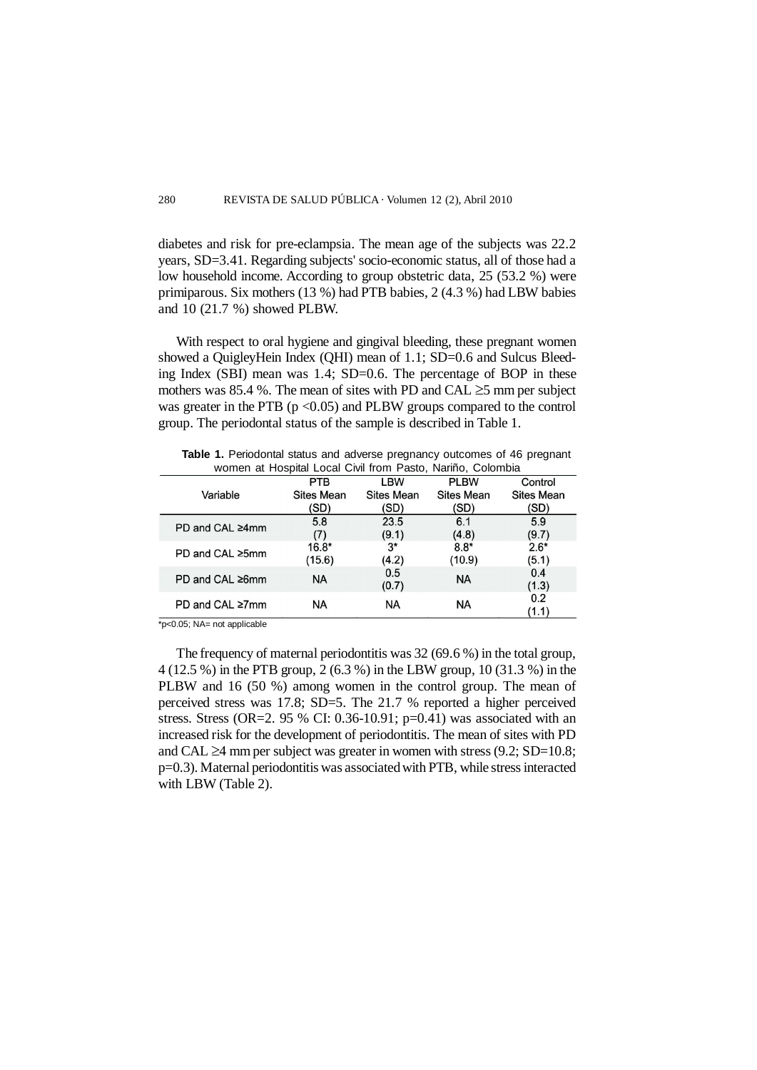diabetes and risk for pre-eclampsia. The mean age of the subjects was 22.2 years, SD=3.41. Regarding subjects' socio-economic status, all of those had a low household income. According to group obstetric data, 25 (53.2 %) were primiparous. Six mothers (13 %) had PTB babies, 2 (4.3 %) had LBW babies and 10 (21.7 %) showed PLBW.

With respect to oral hygiene and gingival bleeding, these pregnant women showed a QuigleyHein Index (QHI) mean of 1.1; SD=0.6 and Sulcus Bleeding Index (SBI) mean was 1.4; SD=0.6. The percentage of BOP in these mothers was 85.4 %. The mean of sites with PD and CAL  $\geq$ 5 mm per subject was greater in the PTB ( $p \le 0.05$ ) and PLBW groups compared to the control group. The periodontal status of the sample is described in Table 1.

**Table 1.** Periodontal status and adverse pregnancy outcomes of 46 pregnant women at Hospital Local Civil from Pasto, Nariño, Colombia

|                 | <b>PTB</b>        | LBW               | <b>PLBW</b>       | Control           |
|-----------------|-------------------|-------------------|-------------------|-------------------|
| Variable        | <b>Sites Mean</b> | <b>Sites Mean</b> | <b>Sites Mean</b> | <b>Sites Mean</b> |
|                 | (SD)              | (SD)              | (SD)              | (SD)              |
| PD and CAL ≥4mm | 5.8               | 23.5              | 6.1               | 5.9               |
|                 | (7)               | (9.1)             | (4.8)             | (9.7)             |
| PD and CAL ≥5mm | $16.8*$           | $3^*$             | $8.8*$            | $2.6*$            |
|                 | (15.6)            | (4.2)             | (10.9)            | (5.1)             |
| PD and CAL ≥6mm | <b>NA</b>         | 0.5               | <b>NA</b>         | 0.4               |
|                 |                   | (0.7)             |                   | (1.3)             |
| PD and CAL ≥7mm | <b>NA</b>         | <b>NA</b>         | ΝA                | 0.2               |
|                 |                   |                   |                   | (1.1)             |

 $*_{p<0.05}$ ; NA= not applicable

The frequency of maternal periodontitis was 32 (69.6 %) in the total group, 4 (12.5 %) in the PTB group, 2 (6.3 %) in the LBW group, 10 (31.3 %) in the PLBW and 16 (50 %) among women in the control group. The mean of perceived stress was 17.8; SD=5. The 21.7 % reported a higher perceived stress. Stress (OR=2. 95 % CI: 0.36-10.91; p=0.41) was associated with an increased risk for the development of periodontitis. The mean of sites with PD and CAL  $\geq$ 4 mm per subject was greater in women with stress (9.2; SD=10.8; p=0.3). Maternal periodontitis was associated with PTB, while stress interacted with LBW (Table 2).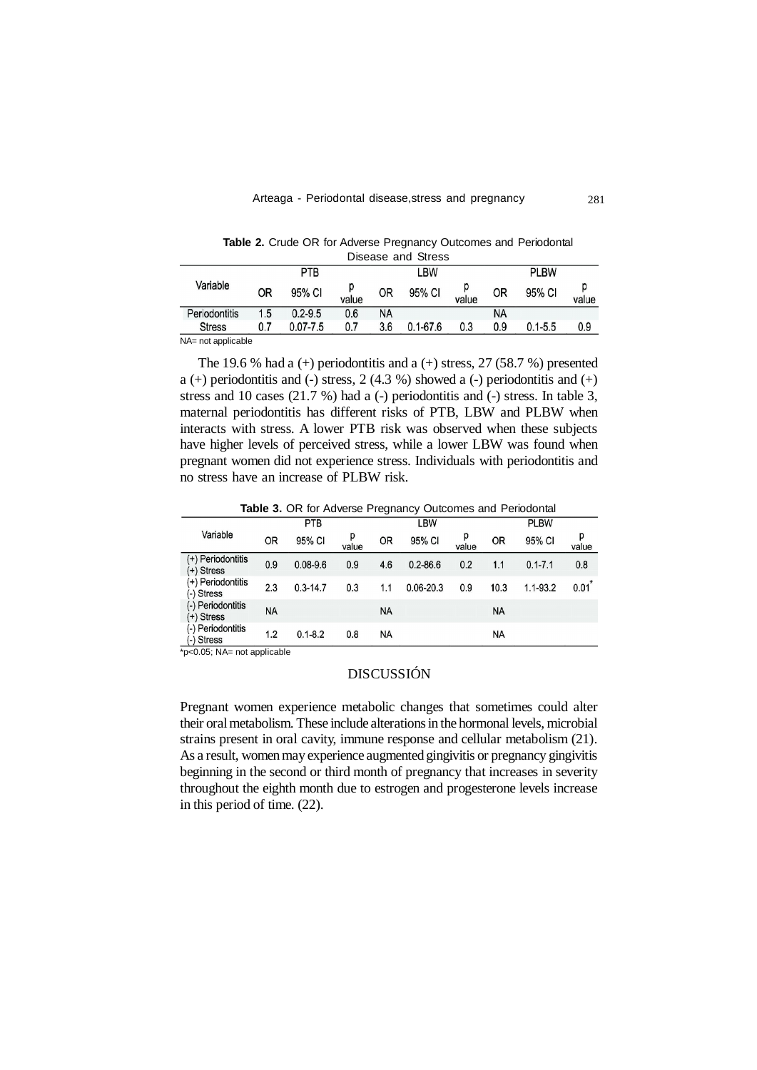|               |            |              |       |     | Disease and Stress |       |             |             |       |
|---------------|------------|--------------|-------|-----|--------------------|-------|-------------|-------------|-------|
|               | <b>PTB</b> |              |       | LBW |                    |       | <b>PLBW</b> |             |       |
| Variable      | ΟR         | 95% CI       | value | 0R  | 95% CI             | value | OR          | 95% CI      | value |
| Periodontitis | 1.5        | $0.2 - 9.5$  | 0.6   | NA  |                    |       | <b>NA</b>   |             |       |
| <b>Stress</b> | 0.7        | $0.07 - 7.5$ | 0.7   | 3.6 | $0.1 - 67.6$       | 0.3   | 0.9         | $0.1 - 5.5$ | 0.9   |
| .<br>.        |            |              |       |     |                    |       |             |             |       |

**Table 2.** Crude OR for Adverse Pregnancy Outcomes and Periodontal Disease and Stress

NA= not applicable

The 19.6 % had a  $(+)$  periodontitis and a  $(+)$  stress, 27 (58.7 %) presented a  $(+)$  periodontitis and  $(-)$  stress, 2  $(4.3 %)$  showed a  $(-)$  periodontitis and  $(+)$ stress and 10 cases  $(21.7 \%)$  had a  $(-)$  periodontitis and  $(-)$  stress. In table 3, maternal periodontitis has different risks of PTB, LBW and PLBW when interacts with stress. A lower PTB risk was observed when these subjects have higher levels of perceived stress, while a lower LBW was found when pregnant women did not experience stress. Individuals with periodontitis and no stress have an increase of PLBW risk.

**Table 3.** OR for Adverse Pregnancy Outcomes and Periodontal

|                                 |     | <b>PTB</b>   |            |           | LBW           |            |           | <b>PLBW</b>  |                     |
|---------------------------------|-----|--------------|------------|-----------|---------------|------------|-----------|--------------|---------------------|
| Variable                        | 0R  | 95% CI       | p<br>value | <b>OR</b> | 95% CI        | р<br>value | <b>OR</b> | 95% CI       | р<br>value          |
| (+) Periodontitis<br>(+) Stress | 0.9 | $0.08 - 9.6$ | 0.9        | 4.6       | $0.2 - 86.6$  | 0.2        | 1.1       | $0.1 - 7.1$  | 0.8                 |
| (+) Periodontitis<br>(-) Stress | 2.3 | $0.3 - 14.7$ | 0.3        | 1.1       | $0.06 - 20.3$ | 0.9        | 10.3      | $1.1 - 93.2$ | $0.01$ <sup>*</sup> |
| (-) Periodontitis<br>(+) Stress | NA  |              |            | <b>NA</b> |               |            | NA        |              |                     |
| (-) Periodontitis<br>(-) Stress | 1.2 | $0.1 - 8.2$  | 0.8        | <b>NA</b> |               |            | NA        |              |                     |

\*p<0.05; NA= not applicable

# DISCUSSIÓN

Pregnant women experience metabolic changes that sometimes could alter their oral metabolism. These include alterations in the hormonal levels, microbial strains present in oral cavity, immune response and cellular metabolism (21). As a result, women may experience augmented gingivitis or pregnancy gingivitis beginning in the second or third month of pregnancy that increases in severity throughout the eighth month due to estrogen and progesterone levels increase in this period of time. (22).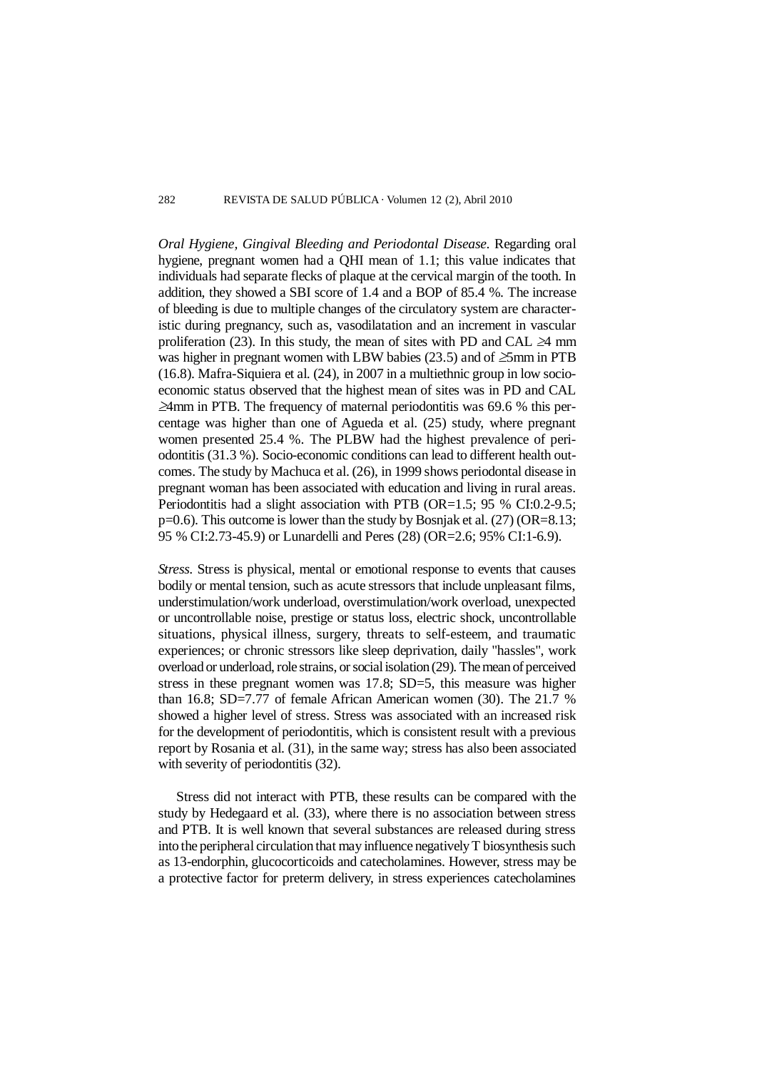#### 282 REVISTA DE SALUD PÚBLICA · Volumen 12 (2), Abril 2010

*Oral Hygiene, Gingival Bleeding and Periodontal Disease.* Regarding oral hygiene, pregnant women had a QHI mean of 1.1; this value indicates that individuals had separate flecks of plaque at the cervical margin of the tooth. In addition, they showed a SBI score of 1.4 and a BOP of 85.4 %. The increase of bleeding is due to multiple changes of the circulatory system are characteristic during pregnancy, such as, vasodilatation and an increment in vascular proliferation (23). In this study, the mean of sites with PD and CAL  $\geq$ 4 mm was higher in pregnant women with LBW babies (23.5) and of  $\geq$ 5mm in PTB  $(16.8)$ . Mafra-Siquiera et al.  $(24)$ , in 2007 in a multiethnic group in low socioeconomic status observed that the highest mean of sites was in PD and CAL  $\geq$ 4mm in PTB. The frequency of maternal periodontitis was 69.6 % this percentage was higher than one of Agueda et al. (25) study, where pregnant women presented 25.4 %. The PLBW had the highest prevalence of periodontitis (31.3 %). Socio-economic conditions can lead to different health outcomes. The study by Machuca et al. (26), in 1999 shows periodontal disease in pregnant woman has been associated with education and living in rural areas. Periodontitis had a slight association with PTB (OR=1.5; 95 % CI:0.2-9.5; p=0.6). This outcome is lower than the study by Bosnjak et al. (27) (OR=8.13; 95 % CI:2.73-45.9) or Lunardelli and Peres (28) (OR=2.6; 95% CI:1-6.9).

*Stress.* Stress is physical, mental or emotional response to events that causes bodily or mental tension, such as acute stressors that include unpleasant films, understimulation/work underload, overstimulation/work overload, unexpected or uncontrollable noise, prestige or status loss, electric shock, uncontrollable situations, physical illness, surgery, threats to self-esteem, and traumatic experiences; or chronic stressors like sleep deprivation, daily "hassles", work overload or underload, role strains, or social isolation (29). The mean of perceived stress in these pregnant women was 17.8; SD=5, this measure was higher than 16.8; SD=7.77 of female African American women (30). The 21.7 % showed a higher level of stress. Stress was associated with an increased risk for the development of periodontitis, which is consistent result with a previous report by Rosania et al. (31), in the same way; stress has also been associated with severity of periodontitis (32).

Stress did not interact with PTB, these results can be compared with the study by Hedegaard et al. (33), where there is no association between stress and PTB. It is well known that several substances are released during stress into the peripheral circulation that may influence negatively T biosynthesis such as 13-endorphin, glucocorticoids and catecholamines. However, stress may be a protective factor for preterm delivery, in stress experiences catecholamines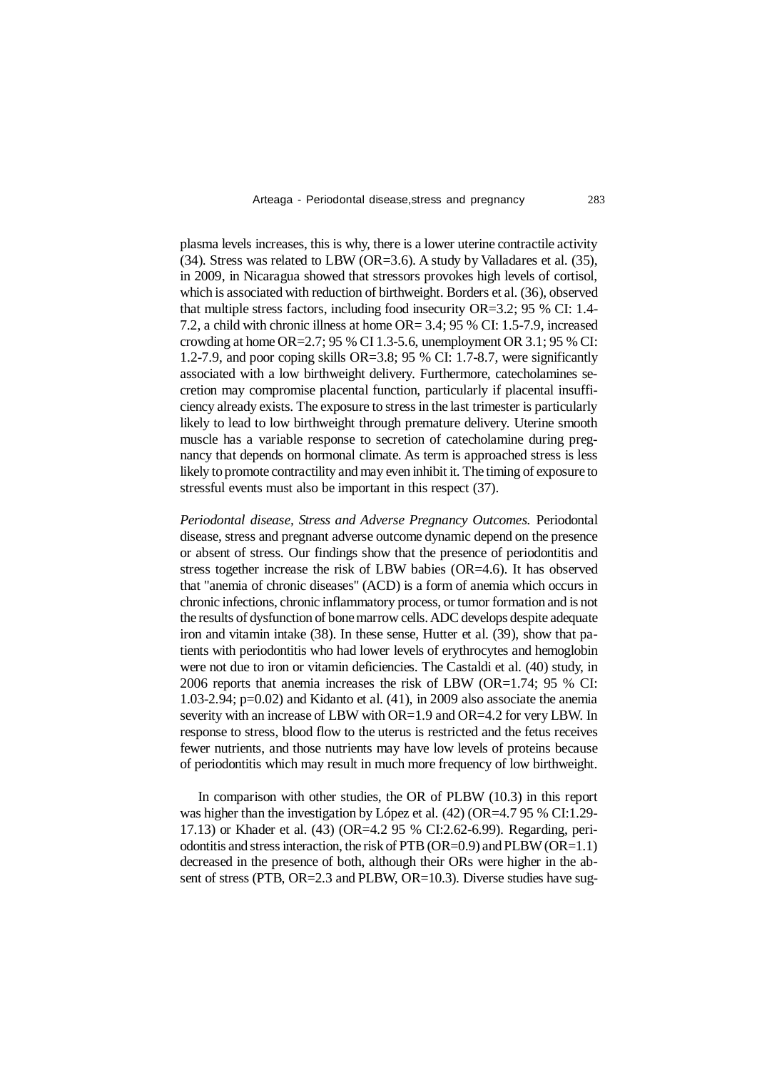plasma levels increases, this is why, there is a lower uterine contractile activity (34). Stress was related to LBW (OR=3.6). A study by Valladares et al. (35), in 2009, in Nicaragua showed that stressors provokes high levels of cortisol, which is associated with reduction of birthweight. Borders et al. (36), observed that multiple stress factors, including food insecurity OR=3.2; 95 % CI: 1.4- 7.2, a child with chronic illness at home OR= 3.4; 95 % CI: 1.5-7.9, increased crowding at home OR= $2.7:95\%$  CI 1.3-5.6, unemployment OR 3.1:95 % CI: 1.2-7.9, and poor coping skills OR=3.8; 95 % CI: 1.7-8.7, were significantly associated with a low birthweight delivery. Furthermore, catecholamines secretion may compromise placental function, particularly if placental insufficiency already exists. The exposure to stress in the last trimester is particularly likely to lead to low birthweight through premature delivery. Uterine smooth muscle has a variable response to secretion of catecholamine during pregnancy that depends on hormonal climate. As term is approached stress is less likely to promote contractility and may even inhibit it. The timing of exposure to stressful events must also be important in this respect (37).

*Periodontal disease, Stress and Adverse Pregnancy Outcomes.* Periodontal disease, stress and pregnant adverse outcome dynamic depend on the presence or absent of stress. Our findings show that the presence of periodontitis and stress together increase the risk of LBW babies (OR=4.6). It has observed that "anemia of chronic diseases" (ACD) is a form of anemia which occurs in chronic infections, chronic inflammatory process, or tumor formation and is not the results of dysfunction of bone marrow cells. ADC develops despite adequate iron and vitamin intake (38). In these sense, Hutter et al. (39), show that patients with periodontitis who had lower levels of erythrocytes and hemoglobin were not due to iron or vitamin deficiencies. The Castaldi et al. (40) study, in 2006 reports that anemia increases the risk of LBW (OR=1.74; 95 % CI: 1.03-2.94; p=0.02) and Kidanto et al. (41), in 2009 also associate the anemia severity with an increase of LBW with OR=1.9 and OR=4.2 for very LBW. In response to stress, blood flow to the uterus is restricted and the fetus receives fewer nutrients, and those nutrients may have low levels of proteins because of periodontitis which may result in much more frequency of low birthweight.

In comparison with other studies, the OR of PLBW (10.3) in this report was higher than the investigation by López et al. (42) (OR=4.7 95 % CI:1.29- 17.13) or Khader et al. (43) (OR=4.2 95 % CI:2.62-6.99). Regarding, periodontitis and stress interaction, the risk of PTB (OR=0.9) and PLBW (OR=1.1) decreased in the presence of both, although their ORs were higher in the absent of stress (PTB, OR=2.3 and PLBW, OR=10.3). Diverse studies have sug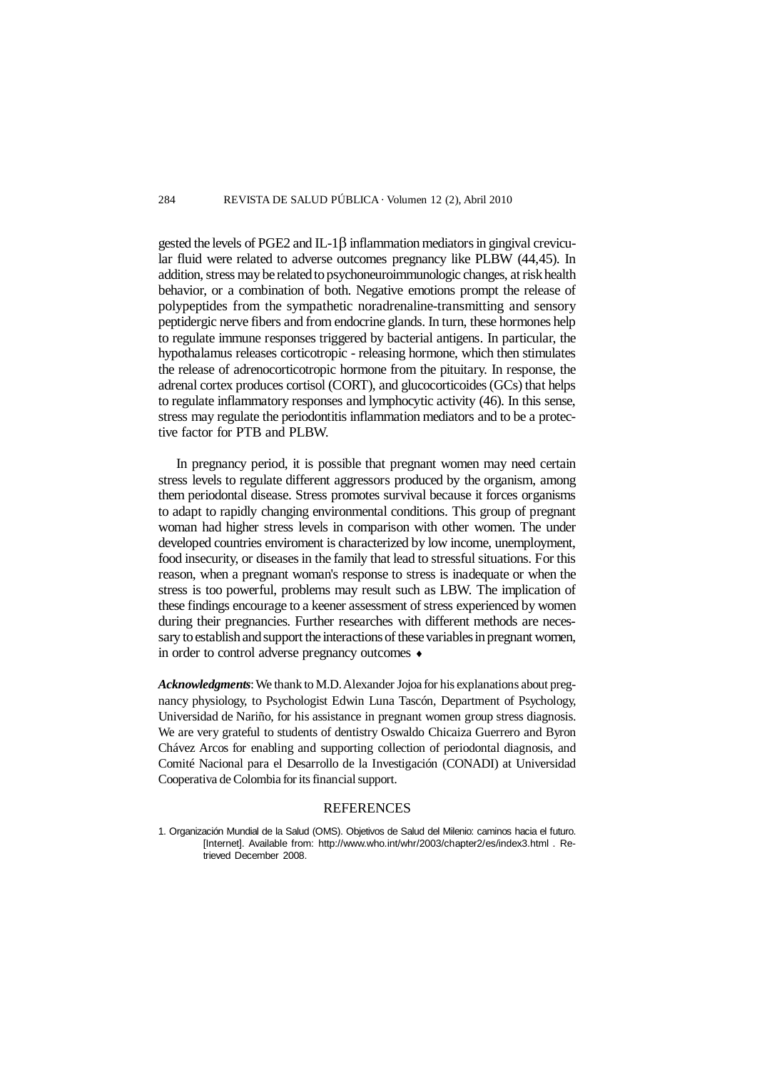gested the levels of PGE2 and IL-1 $\beta$  inflammation mediators in gingival crevicular fluid were related to adverse outcomes pregnancy like PLBW (44,45). In addition, stress may be related to psychoneuroimmunologic changes, at risk health behavior, or a combination of both. Negative emotions prompt the release of polypeptides from the sympathetic noradrenaline-transmitting and sensory peptidergic nerve fibers and from endocrine glands. In turn, these hormones help to regulate immune responses triggered by bacterial antigens. In particular, the hypothalamus releases corticotropic - releasing hormone, which then stimulates the release of adrenocorticotropic hormone from the pituitary. In response, the adrenal cortex produces cortisol (CORT), and glucocorticoides (GCs) that helps to regulate inflammatory responses and lymphocytic activity (46). In this sense, stress may regulate the periodontitis inflammation mediators and to be a protective factor for PTB and PLBW.

In pregnancy period, it is possible that pregnant women may need certain stress levels to regulate different aggressors produced by the organism, among them periodontal disease. Stress promotes survival because it forces organisms to adapt to rapidly changing environmental conditions. This group of pregnant woman had higher stress levels in comparison with other women. The under developed countries enviroment is characterized by low income, unemployment, food insecurity, or diseases in the family that lead to stressful situations. For this reason, when a pregnant woman's response to stress is inadequate or when the stress is too powerful, problems may result such as LBW. The implication of these findings encourage to a keener assessment of stress experienced by women during their pregnancies. Further researches with different methods are necessary to establish and support the interactions of these variables in pregnant women, in order to control adverse pregnancy outcomes  $\triangleleft$ 

*Acknowledgments*: We thank to M.D. Alexander Jojoa for his explanations about pregnancy physiology, to Psychologist Edwin Luna Tascón, Department of Psychology, Universidad de Nariño, for his assistance in pregnant women group stress diagnosis. We are very grateful to students of dentistry Oswaldo Chicaiza Guerrero and Byron Chávez Arcos for enabling and supporting collection of periodontal diagnosis, and Comité Nacional para el Desarrollo de la Investigación (CONADI) at Universidad Cooperativa de Colombia for its financial support.

## **REFERENCES**

<sup>1.</sup> Organización Mundial de la Salud (OMS). Objetivos de Salud del Milenio: caminos hacia el futuro. [Internet]. Available from: <http://www.who.int/whr/2003/chapter2/es/index3.html>. Retrieved December 2008.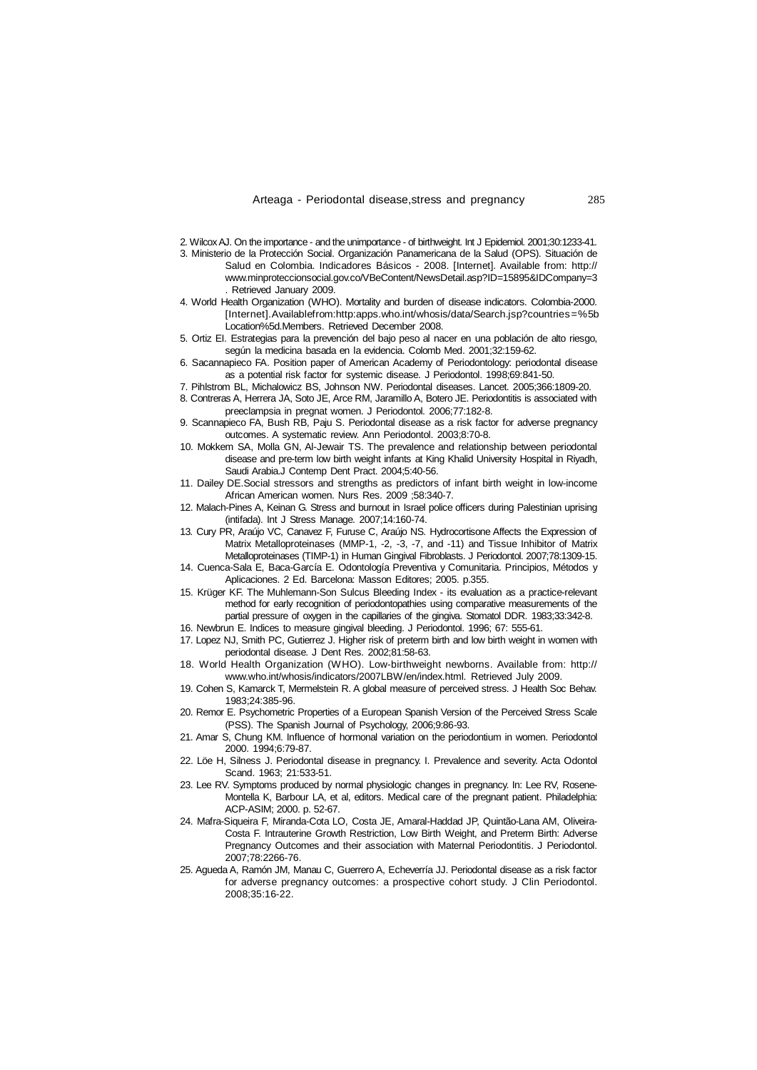- 2. Wilcox AJ. On the importance and the unimportance of birthweight. Int J Epidemiol. 2001;30:1233-41.
- 3. Ministerio de la Protección Social. Organización Panamericana de la Salud (OPS). Situación de Salud en Colombia. Indicadores Básicos - 2008. [Internet]. Available from: http:// [www.minproteccionsocial.gov.co/VBeContent/NewsDetail.asp?ID=15895&IDCompany=3](http://www.minproteccionsocial.gov.co/VBeContent/NewsDetail.asp?ID=15895&IDCompany=3) . Retrieved January 2009.
- 4. World Health Organization (WHO). Mortality and burden of disease indicators. Colombia-2000. [Internet].Availablefrom:http:apps.who.int/whosis/data/Search.jsp?countries=%5b Location%5d.Members. Retrieved December 2008.
- 5. Ortiz EI. Estrategias para la prevención del bajo peso al nacer en una población de alto riesgo, según la medicina basada en la evidencia. Colomb Med. 2001;32:159-62.
- 6. Sacannapieco FA. Position paper of American Academy of Periodontology: periodontal disease as a potential risk factor for systemic disease. J Periodontol. 1998;69:841-50.
- 7. Pihlstrom BL, Michalowicz BS, Johnson NW. Periodontal diseases. Lancet. 2005;366:1809-20.
- 8. Contreras A, Herrera JA, Soto JE, Arce RM, Jaramillo A, Botero JE. Periodontitis is associated with preeclampsia in pregnat women. J Periodontol. 2006;77:182-8.
- 9. Scannapieco FA, Bush RB, Paju S. Periodontal disease as a risk factor for adverse pregnancy outcomes. A systematic review. Ann Periodontol. 2003;8:70-8.
- 10. Mokkem SA, Molla GN, Al-Jewair TS. The prevalence and relationship between periodontal disease and pre-term low birth weight infants at King Khalid University Hospital in Riyadh, Saudi Arabia.J Contemp Dent Pract. 2004;5:40-56.
- 11. Dailey DE.Social stressors and strengths as predictors of infant birth weight in low-income African American women. Nurs Res. 2009 ;58:340-7.
- 12. Malach-Pines A, Keinan G. Stress and burnout in Israel police officers during Palestinian uprising (intifada). Int J Stress Manage. 2007;14:160-74.
- 13. Cury PR, Araújo VC, Canavez F, Furuse C, Araújo NS. Hydrocortisone Affects the Expression of Matrix Metalloproteinases (MMP-1, -2, -3, -7, and -11) and Tissue Inhibitor of Matrix Metalloproteinases (TIMP-1) in Human Gingival Fibroblasts. J Periodontol. 2007;78:1309-15.
- 14. Cuenca-Sala E, Baca-García E. Odontología Preventiva y Comunitaria. Principios, Métodos y Aplicaciones. 2 Ed. Barcelona: Masson Editores; 2005. p.355.
- 15. Krüger KF. The Muhlemann-Son Sulcus Bleeding Index its evaluation as a practice-relevant method for early recognition of periodontopathies using comparative measurements of the partial pressure of oxygen in the capillaries of the gingiva. Stomatol DDR. 1983;33:342-8.
- 16. Newbrun E. Indices to measure gingival bleeding. J Periodontol. 1996; 67: 555-61.
- 17. Lopez NJ, Smith PC, Gutierrez J. Higher risk of preterm birth and low birth weight in women with periodontal disease. J Dent Res. 2002;81:58-63.
- 18. World Health Organization (WHO). Low-birthweight newborns. Available from: http:// [www.who.int/whosis/indicators/2007LBW/en/index.html.](http://www.who.int/whosis/indicators/2007LBW/en/index.html.) Retrieved July 2009.
- 19. Cohen S, Kamarck T, Mermelstein R. A global measure of perceived stress. J Health Soc Behav. 1983;24:385-96.
- 20. Remor E. Psychometric Properties of a European Spanish Version of the Perceived Stress Scale (PSS). The Spanish Journal of Psychology, 2006;9:86-93.
- 21. Amar S, Chung KM. Influence of hormonal variation on the periodontium in women. Periodontol 2000. 1994;6:79-87.
- 22. Löe H, Silness J. Periodontal disease in pregnancy. I. Prevalence and severity. Acta Odontol Scand. 1963; 21:533-51.
- 23. Lee RV. Symptoms produced by normal physiologic changes in pregnancy. In: Lee RV, Rosene-Montella K, Barbour LA, et al, editors. Medical care of the pregnant patient. Philadelphia: ACP-ASIM; 2000. p. 52-67.
- 24. Mafra-Siqueira F, Miranda-Cota LO, Costa JE, Amaral-Haddad JP, Quintão-Lana AM, Oliveira-Costa F. Intrauterine Growth Restriction, Low Birth Weight, and Preterm Birth: Adverse Pregnancy Outcomes and their association with Maternal Periodontitis. J Periodontol. 2007;78:2266-76.
- 25. Agueda A, Ramón JM, Manau C, Guerrero A, Echeverría JJ. Periodontal disease as a risk factor for adverse pregnancy outcomes: a prospective cohort study. J Clin Periodontol. 2008;35:16-22.